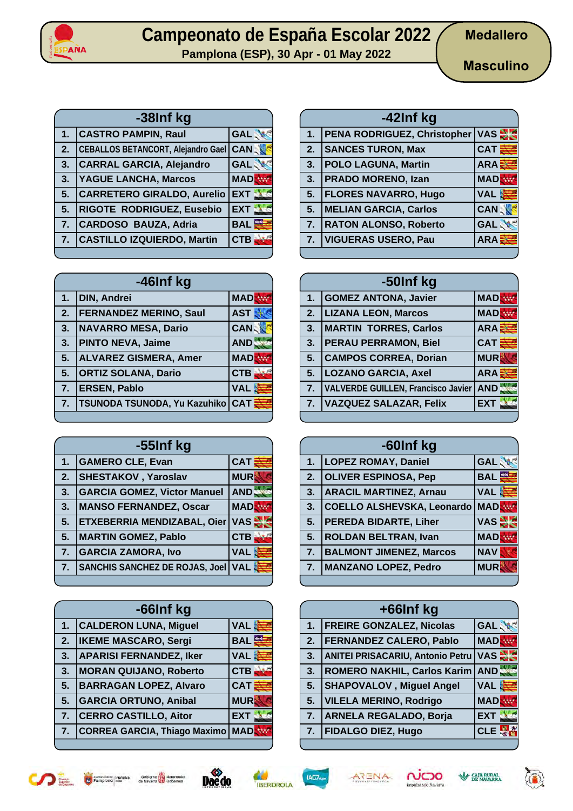

**Pamplona (ESP), 30 Apr - 01 May 2022**

**Masculino**

| -38Inf kg      |                                           |            |
|----------------|-------------------------------------------|------------|
| 1.             | <b>CASTRO PAMPIN, Raul</b>                | <b>GAL</b> |
| 2.             | <b>CEBALLOS BETANCORT, Alejandro Gael</b> | <b>CAN</b> |
| 3.             | <b>CARRAL GARCIA, Alejandro</b>           | <b>GAL</b> |
| 3.             | <b>YAGUE LANCHA, Marcos</b>               | <b>MAD</b> |
| 5.             | <b>CARRETERO GIRALDO, Aurelio</b>         | <b>EXT</b> |
| 5.             | RIGOTE RODRIGUEZ, Eusebio                 | <b>EXT</b> |
| 7 <sub>2</sub> | CARDOSO BAUZA, Adria                      | <b>BAL</b> |
| $\overline{7}$ | <b>CASTILLO IZQUIERDO, Martin</b>         | <b>CTB</b> |
|                |                                           |            |

| -46Inf kg |                               |              |
|-----------|-------------------------------|--------------|
| 1.        | <b>DIN, Andrei</b>            | <b>MAD</b>   |
| 2.        | <b>FERNANDEZ MERINO, Saul</b> | <b>AST</b>   |
| 3.        | <b>NAVARRO MESA, Dario</b>    | <b>CAN</b>   |
| 3.        | <b>PINTO NEVA, Jaime</b>      | AND <b>S</b> |
| 5.        | <b>ALVAREZ GISMERA, Amer</b>  | <b>MAD</b>   |
| 5.        | <b>ORTIZ SOLANA, Dario</b>    | <b>CTB</b>   |
| 7.        | <b>ERSEN, Pablo</b>           | <b>VAL</b>   |
| 7.        | TSUNODA TSUNODA, Yu Kazuhiko  | <b>CAT</b>   |
|           |                               |              |

| -55Inf kg |                                       |            |
|-----------|---------------------------------------|------------|
| 1.        | <b>GAMERO CLE, Evan</b>               | CAT        |
| 2.        | <b>SHESTAKOV</b> , Yaroslav           | <b>MUR</b> |
| 3.        | <b>GARCIA GOMEZ, Victor Manuel</b>    | AND.       |
| 3.        | <b>MANSO FERNANDEZ, Oscar</b>         | <b>MAD</b> |
| 5.        | ETXEBERRIA MENDIZABAL, Oier           | VAS -      |
| 5.        | <b>MARTIN GOMEZ, Pablo</b>            | <b>CTB</b> |
| 7.        | <b>GARCIA ZAMORA, Ivo</b>             | <b>VAL</b> |
| 7.        | <b>SANCHIS SANCHEZ DE ROJAS, Joel</b> | VAL S      |
|           |                                       |            |

| -66Inf kg |                                     |                 |
|-----------|-------------------------------------|-----------------|
| 1.        | <b>CALDERON LUNA, Miguel</b>        | <b>VAL</b>      |
| 2.        | <b>IKEME MASCARO, Sergi</b>         | <b>BAL</b>      |
| 3.        | <b>APARISI FERNANDEZ, Iker</b>      | <b>VAL</b><br>В |
| 3.        | <b>MORAN QUIJANO, Roberto</b>       | <b>CTB</b>      |
| 5.        | <b>BARRAGAN LOPEZ, Alvaro</b>       | <b>CAT</b>      |
| 5.        | <b>GARCIA ORTUNO, Anibal</b>        | <b>MUR</b>      |
| 7.        | <b>CERRO CASTILLO, Aitor</b>        | <b>EXT</b>      |
| 7.        | <b>CORREA GARCIA, Thiago Maximo</b> | <b>MAD</b>      |
|           |                                     |                 |

| -42Inf kg |                                        |              |
|-----------|----------------------------------------|--------------|
| 1.        | <b>PENA RODRIGUEZ, Christopher VAS</b> |              |
| 2.        | <b>SANCES TURON, Max</b>               | <b>CAT</b>   |
| 3.        | <b>POLO LAGUNA, Martin</b>             | ARA <b>E</b> |
| 3.        | <b>PRADO MORENO, Izan</b>              | <b>MAD</b>   |
| 5.        | <b>FLORES NAVARRO, Hugo</b>            | VAL &        |
| 5.        | <b>MELIAN GARCIA, Carlos</b>           | <b>CAN</b>   |
| 7.        | <b>RATON ALONSO, Roberto</b>           | <b>GAL</b>   |
| 7.        | <b>VIGUERAS USERO, Pau</b>             | <b>ARA</b>   |
|           |                                        |              |

| -50Inf kg        |                                           |                  |
|------------------|-------------------------------------------|------------------|
| 1.               | <b>GOMEZ ANTONA, Javier</b>               | <b>MADR</b>      |
| 2.               | <b>LIZANA LEON, Marcos</b>                | <b>MAD</b>       |
| 3.               | <b>MARTIN TORRES, Carlos</b>              | ARA <sup>3</sup> |
| 3.               | <b>PERAU PERRAMON, Biel</b>               | <b>CAT</b>       |
| 5 <sub>1</sub>   | <b>CAMPOS CORREA, Dorian</b>              | <b>MUR</b>       |
| 5.               | <b>LOZANO GARCIA, Axel</b>                | ARAE             |
| 7.               | <b>VALVERDE GUILLEN, Francisco Javier</b> | <b>AND</b>       |
| $\overline{7}$ . | <b>VAZQUEZ SALAZAR, Felix</b>             | <b>EXT</b>       |
|                  |                                           |                  |

| -60Inf kg |                                |            |
|-----------|--------------------------------|------------|
| 1.        | <b>LOPEZ ROMAY, Daniel</b>     | <b>GAL</b> |
| 2.        | <b>OLIVER ESPINOSA, Pep</b>    | <b>BAL</b> |
| 3.        | <b>ARACIL MARTINEZ, Arnau</b>  | <b>VAL</b> |
| 3.        | COELLO ALSHEVSKA, Leonardo     | <b>MAD</b> |
| 5.        | <b>PEREDA BIDARTE, Liher</b>   | $VAS =$    |
| 5.        | <b>ROLDAN BELTRAN, Ivan</b>    | <b>MAD</b> |
| 7.        | <b>BALMONT JIMENEZ, Marcos</b> | <b>NAV</b> |
| 7.        | <b>MANZANO LOPEZ, Pedro</b>    | <b>MUR</b> |
|           |                                |            |

|    | +66Inf kg                               |            |
|----|-----------------------------------------|------------|
| 1. | <b>FREIRE GONZALEZ, Nicolas</b>         | <b>GAL</b> |
| 2. | <b>FERNANDEZ CALERO, Pablo</b>          | <b>MAD</b> |
| 3. | <b>ANITEI PRISACARIU, Antonio Petru</b> | VAS =      |
| 3. | ROMERO NAKHIL, Carlos Karim AND,        |            |
| 5. | <b>SHAPOVALOV</b> , Miguel Angel        | <b>VAL</b> |
| 5. | <b>VILELA MERINO, Rodrigo</b>           | <b>MAD</b> |
| 7. | <b>ARNELA REGALADO, Borja</b>           | <b>EXT</b> |
| 7. | <b>FIDALGO DIEZ, Hugo</b>               | <b>CL</b>  |
|    |                                         |            |













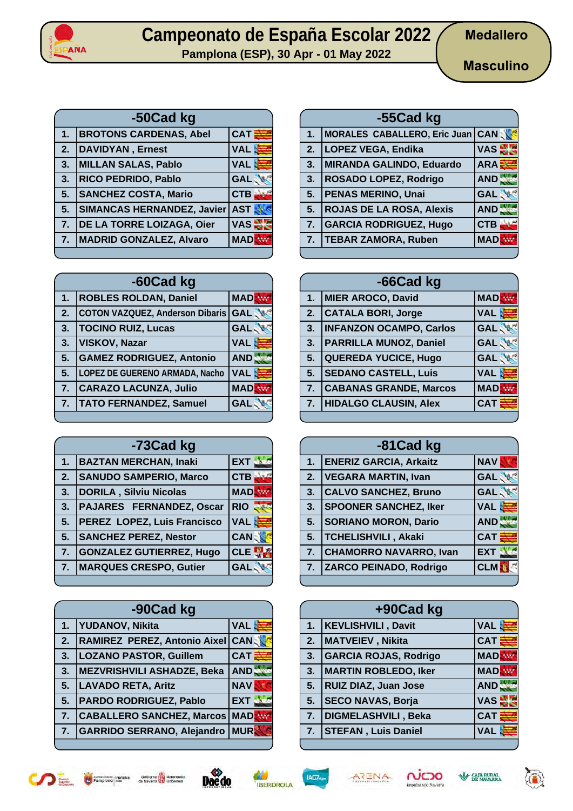

**Pamplona (ESP), 30 Apr - 01 May 2022**

| -50Cad kg |                                   |            |
|-----------|-----------------------------------|------------|
| 1.        | <b>BROTONS CARDENAS, Abel</b>     | CAT        |
| 2.        | <b>DAVIDYAN, Ernest</b>           | <b>VAL</b> |
| 3.        | <b>MILLAN SALAS, Pablo</b>        | <b>VAL</b> |
| 3.        | RICO PEDRIDO, Pablo               | <b>GAL</b> |
| 5.        | <b>SANCHEZ COSTA, Mario</b>       | <b>CTB</b> |
| 5.        | <b>SIMANCAS HERNANDEZ, Javier</b> | <b>AST</b> |
| 7.        | DE LA TORRE LOIZAGA, Oier         | <b>VAS</b> |
| 7.        | MADRID GONZALEZ, Alvaro           | <b>MAD</b> |
|           |                                   |            |

| -60Cad kg |                                        |                 |
|-----------|----------------------------------------|-----------------|
| 1.        | <b>ROBLES ROLDAN, Daniel</b>           | <b>MAD</b>      |
| 2.        | <b>COTON VAZQUEZ, Anderson Dibaris</b> | <b>GAL</b>      |
| 3.        | <b>TOCINO RUIZ, Lucas</b>              | <b>GAL</b>      |
| 3.        | <b>VISKOV, Nazar</b>                   | <b>VAL</b><br>B |
| 5.        | <b>GAMEZ RODRIGUEZ, Antonio</b>        | AND.            |
| 5.        | LOPEZ DE GUERENO ARMADA, Nacho         | <b>VAL</b>      |
| 7.        | <b>CARAZO LACUNZA, Julio</b>           | <b>MAD</b>      |
| 7.        | <b>TATO FERNANDEZ, Samuel</b>          | <b>GAL</b>      |
|           |                                        |                 |

| -73Cad kg |                                 |                    |
|-----------|---------------------------------|--------------------|
| 1.        | <b>BAZTAN MERCHAN, Inaki</b>    | <b>EXT</b>         |
| 2.        | <b>SANUDO SAMPERIO, Marco</b>   | <b>CTB</b>         |
| 3.        | <b>DORILA, Silviu Nicolas</b>   | <b>MAD</b>         |
| 3.        | <b>PAJARES FERNANDEZ, Oscar</b> | <b>RIO</b>         |
| 5.        | PEREZ LOPEZ, Luis Francisco     | VAL <mark>ま</mark> |
| 5.        | <b>SANCHEZ PEREZ, Nestor</b>    | <b>CAN</b>         |
| 7.        | <b>GONZALEZ GUTIERREZ, Hugo</b> | <b>CLE</b>         |
| 7.        | <b>MARQUES CRESPO, Gutier</b>   | <b>GAL</b>         |
|           |                                 |                    |

| -90Cad kg |                                     |            |
|-----------|-------------------------------------|------------|
| 1.        | <b>YUDANOV, Nikita</b>              | <b>VAL</b> |
| 2.        | <b>RAMIREZ PEREZ, Antonio Aixel</b> | <b>CAN</b> |
| 3.        | <b>LOZANO PASTOR, Guillem</b>       | <b>CAT</b> |
| 3.        | <b>MEZVRISHVILI ASHADZE, Beka</b>   | AND.       |
| 5.        | <b>LAVADO RETA, Aritz</b>           | <b>NAV</b> |
| 5.        | PARDO RODRIGUEZ, Pablo              | <b>EXT</b> |
| 7.        | <b>CABALLERO SANCHEZ, Marcos</b>    | <b>MAD</b> |
| 7.        | <b>GARRIDO SERRANO, Alejandro</b>   | <b>MUR</b> |
|           |                                     |            |

| -55Cad kg      |                                  |            |  |
|----------------|----------------------------------|------------|--|
| 1.             | MORALES CABALLERO, Eric Juan CAN |            |  |
| 2.             | LOPEZ VEGA, Endika               | VAS -      |  |
| 3.             | MIRANDA GALINDO, Eduardo         | ARAE       |  |
| 3.             | <b>ROSADO LOPEZ, Rodrigo</b>     | AND.       |  |
| 5.             | <b>PENAS MERINO, Unai</b>        | <b>GAL</b> |  |
| 5 <sub>1</sub> | <b>ROJAS DE LA ROSA, Alexis</b>  | AND.       |  |
| 7.             | <b>GARCIA RODRIGUEZ, Hugo</b>    | <b>CTB</b> |  |
| 7.             | <b>TEBAR ZAMORA, Ruben</b>       | <b>MAD</b> |  |
|                |                                  |            |  |

| -66Cad kg      |                                |             |
|----------------|--------------------------------|-------------|
| 1 <sub>1</sub> | MIER AROCO, David              | <b>MADE</b> |
| 2.             | <b>CATALA BORI, Jorge</b>      | <b>VAL</b>  |
| 3.             | <b>INFANZON OCAMPO, Carlos</b> | <b>GAL</b>  |
| 3.             | <b>PARRILLA MUNOZ, Daniel</b>  | <b>GAL</b>  |
| 5.             | <b>QUEREDA YUCICE, Hugo</b>    | <b>GAL</b>  |
| 5.             | <b>SEDANO CASTELL, Luis</b>    | <b>VAL</b>  |
| 7.             | <b>CABANAS GRANDE, Marcos</b>  | <b>MAD</b>  |
| 7.             | <b>HIDALGO CLAUSIN, Alex</b>   | <b>CAT</b>  |
|                |                                |             |

| -81 Cad kg |                               |              |
|------------|-------------------------------|--------------|
| 1.         | <b>ENERIZ GARCIA, Arkaitz</b> | <b>NAV</b>   |
| 2.         | <b>VEGARA MARTIN, Ivan</b>    | <b>GAL</b>   |
| 3.         | <b>CALVO SANCHEZ, Bruno</b>   | <b>GAL</b>   |
| 3.         | <b>SPOONER SANCHEZ, Iker</b>  | <b>VAL</b>   |
| 5.         | <b>SORIANO MORON, Dario</b>   | AND          |
| 5.         | <b>TCHELISHVILI</b> , Akaki   | $CAT \equiv$ |
| 7.         | <b>CHAMORRO NAVARRO, Ivan</b> | <b>EXT</b>   |
| 7.         | ZARCO PEINADO, Rodrigo        | <b>CLM</b>   |
|            |                               |              |

|    | +90Cad kg                    |            |
|----|------------------------------|------------|
|    | 1.   KEVLISHVILI, Davit      | <b>VAL</b> |
| 2. | MATVEIEV, Nikita             | <b>CAT</b> |
| 3. | <b>GARCIA ROJAS, Rodrigo</b> | <b>MAD</b> |
| 3. | <b>MARTIN ROBLEDO, Iker</b>  | <b>MAD</b> |
| 5. | <b>RUIZ DIAZ, Juan Jose</b>  | AND.       |
| 5. | <b>SECO NAVAS, Borja</b>     | <b>VAS</b> |
| 7. | DIGMELASHVILI, Beka          | <b>CAT</b> |
|    | 7. STEFAN, Luis Daniel       | <b>VAL</b> |











6

**SALA RURAL**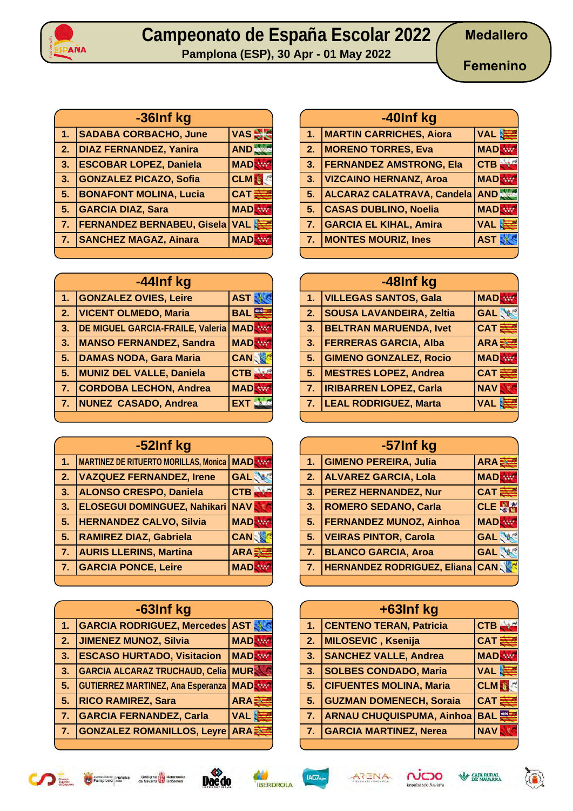

**Pamplona (ESP), 30 Apr - 01 May 2022**

**Femenino**

| -36Inf kg        |                                   |            |
|------------------|-----------------------------------|------------|
| $1-$             | <b>SADABA CORBACHO, June</b>      | VAS 2      |
| $\overline{2}$ . | <b>DIAZ FERNANDEZ, Yanira</b>     | AND.       |
| $\mathbf{3}$ .   | <b>ESCOBAR LOPEZ, Daniela</b>     | <b>MAD</b> |
| 3.               | <b>GONZALEZ PICAZO, Sofia</b>     | <b>CLM</b> |
| 5.               | <b>BONAFONT MOLINA, Lucia</b>     | <b>CAT</b> |
| 5.               | <b>GARCIA DIAZ, Sara</b>          | <b>MAD</b> |
| 7.               | <b>FERNANDEZ BERNABEU, Gisela</b> | <b>VAL</b> |
| 7.               | <b>SANCHEZ MAGAZ, Ainara</b>      | <b>MAD</b> |
|                  |                                   |            |

| -44Inf kg                 |                                  |            |
|---------------------------|----------------------------------|------------|
| 1.                        | <b>GONZALEZ OVIES, Leire</b>     | <b>AST</b> |
| $\overline{\mathbf{2}}$ . | <b>VICENT OLMEDO, Maria</b>      | <b>BAL</b> |
| 3.                        | DE MIGUEL GARCIA-FRAILE, Valeria | <b>MAD</b> |
| 3.                        | <b>MANSO FERNANDEZ, Sandra</b>   | <b>MAD</b> |
| 5.                        | <b>DAMAS NODA, Gara Maria</b>    | <b>CAN</b> |
| 5.                        | <b>MUNIZ DEL VALLE, Daniela</b>  | CTB        |
| 7.                        | <b>CORDOBA LECHON, Andrea</b>    | <b>MAD</b> |
| 7.                        | <b>NUNEZ CASADO, Andrea</b>      | <b>EXT</b> |
|                           |                                  |            |

| -52Inf kg      |                                              |             |
|----------------|----------------------------------------------|-------------|
| 1.             | <b>MARTINEZ DE RITUERTO MORILLAS, Monica</b> | <b>MAD</b>  |
| 2.             | <b>VAZQUEZ FERNANDEZ, Irene</b>              | <b>GAL</b>  |
| 3.             | <b>ALONSO CRESPO, Daniela</b>                | <b>CTB</b>  |
| 3.             | <b>ELOSEGUI DOMINGUEZ, Nahikari</b>          | <b>NAV</b>  |
| 5.             | <b>HERNANDEZ CALVO, Silvia</b>               | <b>MAD</b>  |
| 5.             | <b>RAMIREZ DIAZ, Gabriela</b>                | <b>CANS</b> |
| 7 <sub>1</sub> | <b>AURIS LLERINS, Martina</b>                | ARA E       |
| 7.             | <b>GARCIA PONCE, Leire</b>                   | <b>MAD</b>  |
|                |                                              |             |

| -63Inf kg |                                          |             |
|-----------|------------------------------------------|-------------|
| 1.        | <b>GARCIA RODRIGUEZ, Mercedes</b>        | <b>AST</b>  |
| 2.        | <b>JIMENEZ MUNOZ, Silvia</b>             | <b>MAD</b>  |
| 3.        | <b>ESCASO HURTADO, Visitacion</b>        | <b>MAD</b>  |
| 3.        | <b>GARCIA ALCARAZ TRUCHAUD, Celia</b>    | <b>MUR</b>  |
| 5.        | <b>GUTIERREZ MARTINEZ, Ana Esperanza</b> | <b>MAD</b>  |
| 5.        | <b>RICO RAMIREZ, Sara</b>                | <b>ARAE</b> |
| 7.        | <b>GARCIA FERNANDEZ, Carla</b>           | <b>VAL</b>  |
| 7.        | <b>GONZALEZ ROMANILLOS, Leyre</b>        | ARA E       |
|           |                                          |             |

| -40Inf kg      |                                   |            |
|----------------|-----------------------------------|------------|
| $\mathbf{1}$ . | <b>MARTIN CARRICHES, Aiora</b>    | VAL &      |
| 2.             | <b>MORENO TORRES, Eva</b>         | <b>MAD</b> |
| 3.             | <b>FERNANDEZ AMSTRONG, Ela</b>    | <b>CTB</b> |
| 3.             | <b>VIZCAINO HERNANZ, Aroa</b>     | <b>MAD</b> |
| 5.             | <b>ALCARAZ CALATRAVA, Candela</b> | <b>AND</b> |
| 5.             | <b>CASAS DUBLINO, Noelia</b>      | <b>MAD</b> |
| 7.             | <b>GARCIA EL KIHAL, Amira</b>     | <b>VAL</b> |
| 7.             | <b>MONTES MOURIZ, Ines</b>        | <b>AST</b> |
|                |                                   |            |

| -48Inf kg      |                                 |            |  |
|----------------|---------------------------------|------------|--|
| 1 <sub>1</sub> | <b>VILLEGAS SANTOS, Gala</b>    | <b>MAD</b> |  |
| 2.             | <b>SOUSA LAVANDEIRA, Zeltia</b> | <b>GAL</b> |  |
| 3.             | <b>BELTRAN MARUENDA, Ivet</b>   | <b>CAT</b> |  |
| 3.             | <b>FERRERAS GARCIA, Alba</b>    | ARA        |  |
| 5.             | <b>GIMENO GONZALEZ, Rocio</b>   | <b>MAD</b> |  |
| 5 <sub>1</sub> | <b>MESTRES LOPEZ, Andrea</b>    | <b>CAT</b> |  |
| 7.             | <b>IRIBARREN LOPEZ, Carla</b>   | <b>NAV</b> |  |
| 7.             | <b>LEAL RODRIGUEZ, Marta</b>    | <b>VAL</b> |  |
|                |                                 |            |  |

| -57Inf kg |                                    |                   |
|-----------|------------------------------------|-------------------|
| 1.        | <b>GIMENO PEREIRA, Julia</b>       | ARA               |
| 2.        | <b>ALVAREZ GARCIA, Lola</b>        | <b>MAD</b>        |
| 3.        | <b>PEREZ HERNANDEZ, Nur</b>        | $CAT \geq$        |
| 3.        | <b>ROMERO SEDANO, Carla</b>        | CLE $\frac{1}{3}$ |
| 5.        | <b>FERNANDEZ MUNOZ, Ainhoa</b>     | <b>MAD</b>        |
| 5.        | <b>VEIRAS PINTOR, Carola</b>       | <b>GAL</b>        |
| 7.        | <b>BLANCO GARCIA, Aroa</b>         | <b>GAL</b>        |
| 7.        | <b>HERNANDEZ RODRIGUEZ, Eliana</b> | <b>CAN</b>        |

|                | +63Inf kg                        |            |
|----------------|----------------------------------|------------|
| 1 <sub>1</sub> | <b>CENTENO TERAN, Patricia</b>   | <b>CTB</b> |
| 2.             | MILOSEVIC, Ksenija               | <b>CAT</b> |
| 3.             | <b>SANCHEZ VALLE, Andrea</b>     | <b>MAD</b> |
| 3.             | <b>SOLBES CONDADO, Maria</b>     | <b>VAL</b> |
| 5.             | <b>CIFUENTES MOLINA, Maria</b>   | <b>CLM</b> |
| 5.             | <b>GUZMAN DOMENECH, Soraia</b>   | <b>CAT</b> |
| 7.             | <b>ARNAU CHUQUISPUMA, Ainhoa</b> | <b>BAL</b> |
| 7.             | <b>GARCIA MARTINEZ, Nerea</b>    | <b>NAV</b> |











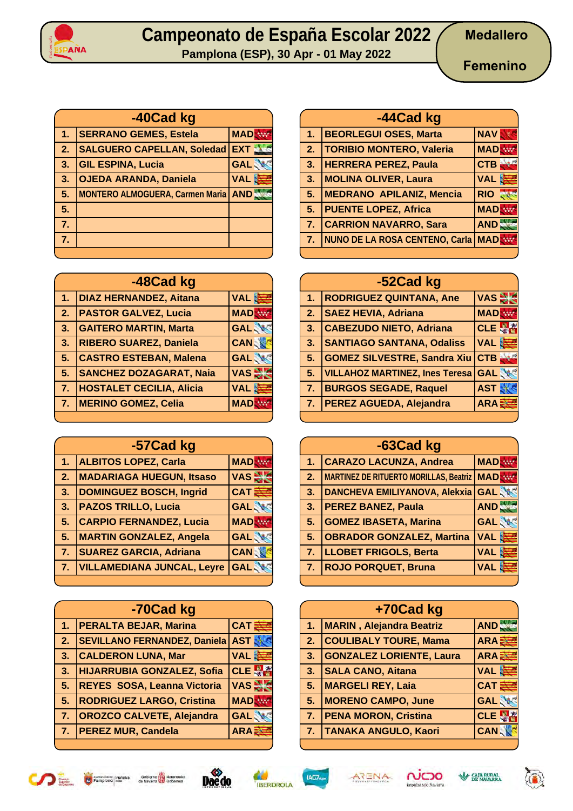



**Pamplona (ESP), 30 Apr - 01 May 2022**

|              | -40Cad kg                              |            |
|--------------|----------------------------------------|------------|
| 1.           | <b>SERRANO GEMES, Estela</b>           | <b>MAD</b> |
| $\mathbf{2}$ | <b>SALGUERO CAPELLAN, Soledad</b>      | <b>EXT</b> |
| 3.           | <b>GIL ESPINA, Lucia</b>               | <b>GAL</b> |
| 3.           | <b>OJEDA ARANDA, Daniela</b>           | <b>VAL</b> |
| 5.           | <b>MONTERO ALMOGUERA, Carmen Maria</b> | AND.       |
| 5.           |                                        |            |
| 7.           |                                        |            |
| 7.           |                                        |            |
|              |                                        |            |

| -48Cad kg |                                 |             |  |  |  |  |
|-----------|---------------------------------|-------------|--|--|--|--|
| 1.        | <b>DIAZ HERNANDEZ, Aitana</b>   | VAL 遗       |  |  |  |  |
| 2.        | <b>PASTOR GALVEZ, Lucia</b>     | <b>MAD</b>  |  |  |  |  |
| 3.        | <b>GAITERO MARTIN, Marta</b>    | <b>GAL</b>  |  |  |  |  |
| 3.        | <b>RIBERO SUAREZ, Daniela</b>   | <b>CANS</b> |  |  |  |  |
| 5.        | <b>CASTRO ESTEBAN, Malena</b>   | <b>GAL</b>  |  |  |  |  |
| 5.        | <b>SANCHEZ DOZAGARAT, Naia</b>  | <b>VAS</b>  |  |  |  |  |
| 7.        | <b>HOSTALET CECILIA, Alicia</b> | <b>VAL</b>  |  |  |  |  |
| 7.        | <b>MERINO GOMEZ, Celia</b>      | <b>MAD</b>  |  |  |  |  |
|           |                                 |             |  |  |  |  |

|                | -57Cad kg                         |            |
|----------------|-----------------------------------|------------|
| 1.             | <b>ALBITOS LOPEZ, Carla</b>       | <b>MAD</b> |
| 2.             | <b>MADARIAGA HUEGUN, Itsaso</b>   | $VAS =$    |
| 3.             | <b>DOMINGUEZ BOSCH, Ingrid</b>    | <b>CAT</b> |
| 3.             | <b>PAZOS TRILLO, Lucia</b>        | <b>GAL</b> |
| 5.             | <b>CARPIO FERNANDEZ, Lucia</b>    | <b>MAD</b> |
| 5.             | <b>MARTIN GONZALEZ, Angela</b>    | <b>GAL</b> |
| 7 <sub>1</sub> | <b>SUAREZ GARCIA, Adriana</b>     | <b>CAN</b> |
| 7.             | <b>VILLAMEDIANA JUNCAL, Leyre</b> | <b>GAL</b> |
|                |                                   |            |

|    | -70Cad kg                           |               |
|----|-------------------------------------|---------------|
| 1. | <b>PERALTA BEJAR, Marina</b>        | <b>CAT</b>    |
| 2. | <b>SEVILLANO FERNANDEZ, Daniela</b> | <b>AST</b>    |
| 3. | <b>CALDERON LUNA, Mar</b>           | <b>VAL</b>    |
| 3. | <b>HIJARRUBIA GONZALEZ, Sofia</b>   | <b>CLE</b>    |
| 5. | REYES SOSA, Leanna Victoria         | $VAS \approx$ |
| 5. | <b>RODRIGUEZ LARGO, Cristina</b>    | <b>MAD</b>    |
| 7. | <b>OROZCO CALVETE, Alejandra</b>    | <b>GAL</b>    |
| 7. | <b>PEREZ MUR, Candela</b>           | <b>ARA</b>    |

|                | -44Cad kg                       |            |
|----------------|---------------------------------|------------|
| 1 <sub>1</sub> | <b>BEORLEGUI OSES, Marta</b>    | <b>NAV</b> |
| 2.             | <b>TORIBIO MONTERO, Valeria</b> | <b>MAD</b> |
|                | 3. HERRERA PEREZ, Paula         | <b>CTB</b> |
| 3.             | <b>MOLINA OLIVER, Laura</b>     | <b>VAL</b> |
| 5.             | <b>MEDRANO APILANIZ, Mencia</b> | <b>RIO</b> |
| 5.             | <b>PUENTE LOPEZ, Africa</b>     | <b>MAD</b> |
| 7 <sub>1</sub> | <b>CARRION NAVARRO, Sara</b>    | <b>AND</b> |
| 7.             | NUNO DE LA ROSA CENTENO, Carla  | <b>MAD</b> |
|                |                                 |            |

|                           | -52Cad kg                             |                   |
|---------------------------|---------------------------------------|-------------------|
| 1.                        | <b>RODRIGUEZ QUINTANA, Ane</b>        | <b>VAS!</b>       |
| $\overline{\mathbf{2}}$ . | <b>SAEZ HEVIA, Adriana</b>            | <b>MAD</b>        |
| 3.                        | <b>CABEZUDO NIETO, Adriana</b>        | CLE $\frac{m}{2}$ |
| 3.                        | <b>SANTIAGO SANTANA, Odaliss</b>      | VAL S             |
| 5.                        | <b>GOMEZ SILVESTRE, Sandra Xiu</b>    | <b>CTB</b>        |
| 5.                        | <b>VILLAHOZ MARTINEZ, Ines Teresa</b> | <b>GAL</b>        |
| 7.                        | <b>BURGOS SEGADE, Raquel</b>          | <b>AST</b>        |
| 7.                        | <b>PEREZ AGUEDA, Alejandra</b>        | <b>ARA</b>        |
|                           |                                       |                   |

|    | -63Cad kg                                    |            |
|----|----------------------------------------------|------------|
| 1. | <b>CARAZO LACUNZA, Andrea</b>                | <b>MAD</b> |
| 2. | MARTINEZ DE RITUERTO MORILLAS, Beatriz   MAD |            |
| 3. | DANCHEVA EMILIYANOVA, Alekxia GAL            |            |
| 3. | <b>PEREZ BANEZ, Paula</b>                    | AND.       |
| 5. | <b>GOMEZ IBASETA, Marina</b>                 | <b>GAL</b> |
| 5. | <b>OBRADOR GONZALEZ, Martina</b>             | VAL S      |
| 7. | <b>LLOBET FRIGOLS, Berta</b>                 | VAL S      |
| 7. | <b>ROJO PORQUET, Bruna</b>                   | <b>VAL</b> |
|    |                                              |            |

|     | +70Cad kg                        |              |
|-----|----------------------------------|--------------|
| 1.7 | <b>MARIN</b> , Alejandra Beatriz | <b>AND</b>   |
| 2.  | <b>COULIBALY TOURE, Mama</b>     | $ARA\bar{z}$ |
| 3.  | <b>GONZALEZ LORIENTE, Laura</b>  | ARA 3        |
| 3.  | <b>SALA CANO, Aitana</b>         | VAL S        |
| 5.  | <b>MARGELI REY, Laia</b>         | <b>CAT</b>   |
| 5.  | <b>MORENO CAMPO, June</b>        | <b>GAL</b>   |
| 7.  | <b>PENA MORON, Cristina</b>      | <b>CLE</b>   |
| 7.  | <b>TANAKA ANGULO, Kaori</b>      | CAN.         |













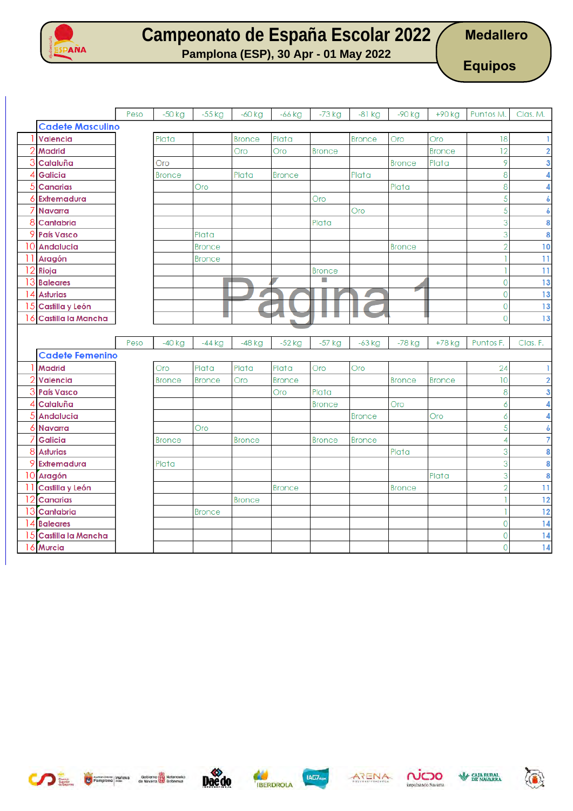

**Medallero**

**Pamplona (ESP), 30 Apr - 01 May 2022**

**Equipos**

|         |                              | Peso | $-50$ kg      | $-55$ kg      | $-60$ kg      | $-66$ kg      | $-73$ kg      | $-81$ kg      | -90 kg        | +90 kg        | Puntos M.                        | Clas. M.                |
|---------|------------------------------|------|---------------|---------------|---------------|---------------|---------------|---------------|---------------|---------------|----------------------------------|-------------------------|
|         | <b>Cadete Masculino</b>      |      |               |               |               |               |               |               |               |               |                                  |                         |
|         | Valencia                     |      | Plata         |               | <b>Bronce</b> | Plata         |               | <b>Bronce</b> | Oro           | Oro           | 18                               |                         |
|         | <b>Madrid</b>                |      |               |               | Oro           | Oro           | <b>Bronce</b> |               |               | <b>Bronce</b> | 12                               | $\overline{2}$          |
| 3       | Cataluña                     |      | Oro           |               |               |               |               |               | <b>Bronce</b> | Plata         | 9                                | 3                       |
| 4       | Galicia                      |      | <b>Bronce</b> |               | Plata         | <b>Bronce</b> |               | Plata         |               |               | 8                                | 4                       |
| 5       | <b>Canarias</b>              |      |               | Oro           |               |               |               |               | Plata         |               | $\overline{8}$                   | 4                       |
| 6       | Extremadura                  |      |               |               |               |               | Oro           |               |               |               | $\overline{5}$                   | 6                       |
|         | <b>Navarra</b>               |      |               |               |               |               |               | Oro           |               |               | $\overline{5}$                   | 6                       |
| 8       | Cantabria                    |      |               |               |               |               | Plata         |               |               |               | $\overline{3}$                   | 8                       |
|         | 9 País Vasco                 |      |               | Plata         |               |               |               |               |               |               | 3                                | 8                       |
|         | 10 Andalucia                 |      |               | <b>Bronce</b> |               |               |               |               | <b>Bronce</b> |               | $\overline{2}$                   | 10                      |
|         | 11 Aragón                    |      |               | <b>Bronce</b> |               |               |               |               |               |               |                                  | $\overline{11}$         |
| 12      | Rioja                        |      |               |               |               |               | <b>Bronce</b> |               |               |               |                                  | $\overline{11}$         |
| 13      | <b>Baleares</b>              |      |               |               |               |               |               |               |               |               | $\overline{0}$                   | 13                      |
| 14      | <b>Asturias</b>              |      |               |               |               |               |               |               |               |               | $\mathbf 0$                      | 13                      |
| 15      | Castilla y León              |      |               |               |               |               |               |               |               |               | $\mathbf 0$                      | 13                      |
| 16      | Castilla la Mancha           |      |               |               |               | u.            |               |               |               |               | $\overline{0}$                   | 13                      |
|         |                              |      |               |               |               |               |               |               |               |               |                                  |                         |
|         |                              |      |               |               |               |               |               |               |               |               |                                  |                         |
|         |                              | Peso | $-40$ kg      | $-44$ kg      | $-48$ kg      | $-52$ kg      | $-57$ kg      | $-63$ kg      | -78 kg        | +78 kg        | Puntos F.                        | Clas. F.                |
|         | <b>Cadete Femenino</b>       |      |               |               |               |               |               |               |               |               |                                  |                         |
|         | <b>Madrid</b>                |      | Oro           | Plata         | Plata         | Plata         | Oro           | Oro           |               |               | 24                               |                         |
| 2       | Valencia                     |      | <b>Bronce</b> | <b>Bronce</b> | Oro           | <b>Bronce</b> |               |               | <b>Bronce</b> | <b>Bronce</b> | 10                               | $\overline{\mathbf{2}}$ |
| 3       | <b>País Vasco</b>            |      |               |               |               | Oro           | Plata         |               |               |               | 8                                | 3                       |
| 4       | Cataluña                     |      |               |               |               |               | <b>Bronce</b> |               | Oro           |               | 6                                | 4                       |
|         | <b>Andalucia</b>             |      |               |               |               |               |               | <b>Bronce</b> |               | Oro           | 6                                | 4                       |
| 6       | <b>Navarra</b>               |      |               | Oro           |               |               |               |               |               |               | $\overline{5}$                   | 6                       |
|         | <b>Galicia</b>               |      | <b>Bronce</b> |               | <b>Bronce</b> |               | <b>Bronce</b> | <b>Bronce</b> |               |               | $\overline{4}$                   | $\overline{7}$          |
| 8       | <b>Asturias</b>              |      |               |               |               |               |               |               | Plata         |               | 3                                | 8                       |
|         | 9 Extremadura                |      | Plata         |               |               |               |               |               |               |               | $\overline{3}$                   | 8                       |
|         | 10 Aragón                    |      |               |               |               |               |               |               |               | Plata         | $\overline{3}$                   | 8                       |
|         | Castilla y León              |      |               |               |               | <b>Bronce</b> |               |               | <b>Bronce</b> |               | $\overline{2}$                   | $\overline{11}$         |
| 12      | <b>Canarias</b>              |      |               |               | <b>Bronce</b> |               |               |               |               |               |                                  | 12                      |
| 13      | Cantabria                    |      |               | <b>Bronce</b> |               |               |               |               |               |               |                                  | 12                      |
|         | 14 Baleares                  |      |               |               |               |               |               |               |               |               | $\overline{0}$                   | 14                      |
| 15<br>6 | Castilla la Mancha<br>Murcia |      |               |               |               |               |               |               |               |               | $\overline{0}$<br>$\overline{0}$ | 14<br>14                |